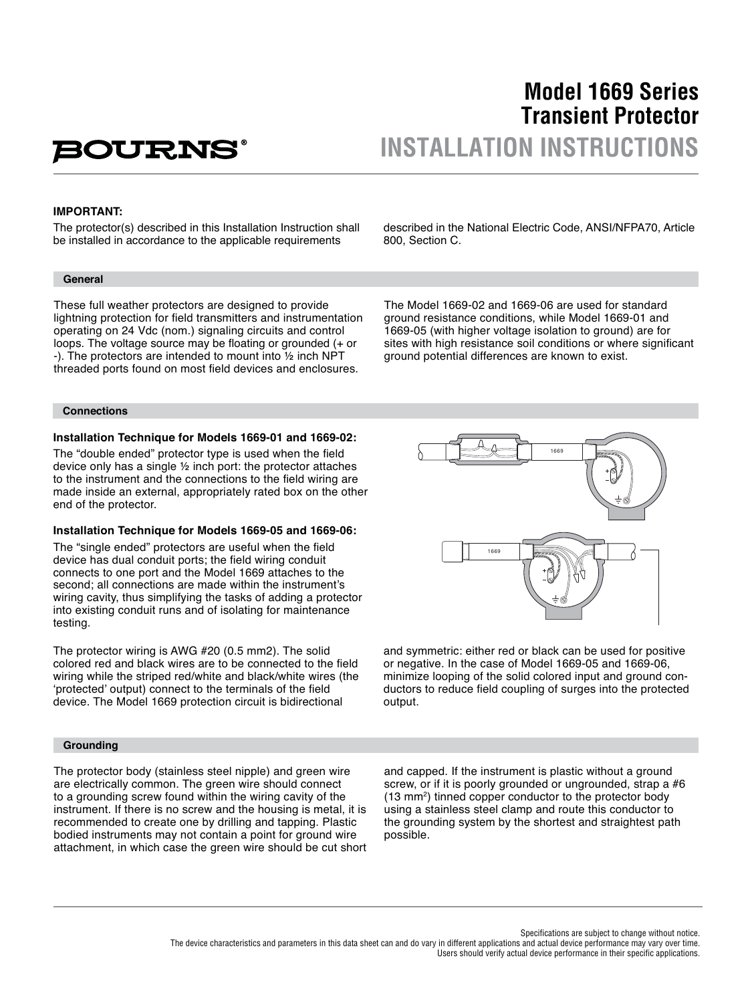# **BOURNS**

## **Model 1669 Series Transient Protector INSTALLATION INSTRUCTIONS**

#### **IMPORTANT:**

The protector(s) described in this Installation Instruction shall be installed in accordance to the applicable requirements

#### **General**

These full weather protectors are designed to provide lightning protection for field transmitters and instrumentation operating on 24 Vdc (nom.) signaling circuits and control loops. The voltage source may be floating or grounded  $(+)$  or -). The protectors are intended to mount into ½ inch NPT threaded ports found on most field devices and enclosures.

**Connections**

#### **Installation Technique for Models 1669-01 and 1669-02:**

The "double ended" protector type is used when the field device only has a single ½ inch port: the protector attaches to the instrument and the connections to the field wiring are made inside an external, appropriately rated box on the other end of the protector.

#### **Installation Technique for Models 1669-05 and 1669-06:**

The "single ended" protectors are useful when the field device has dual conduit ports; the field wiring conduit connects to one port and the Model 1669 attaches to the second; all connections are made within the instrument's wiring cavity, thus simplifying the tasks of adding a protector into existing conduit runs and of isolating for maintenance testing.

The protector wiring is AWG #20 (0.5 mm2). The solid colored red and black wires are to be connected to the field wiring while the striped red/white and black/white wires (the 'protected' output) connect to the terminals of the field device. The Model 1669 protection circuit is bidirectional

#### **Grounding**

The protector body (stainless steel nipple) and green wire are electrically common. The green wire should connect to a grounding screw found within the wiring cavity of the instrument. If there is no screw and the housing is metal, it is recommended to create one by drilling and tapping. Plastic bodied instruments may not contain a point for ground wire attachment, in which case the green wire should be cut short

described in the National Electric Code, ANSI/NFPA70, Article

800, Section C.

The Model 1669-02 and 1669-06 are used for standard ground resistance conditions, while Model 1669-01 and 1669-05 (with higher voltage isolation to ground) are for sites with high resistance soil conditions or where significant ground potential differences are known to exist.



and symmetric: either red or black can be used for positive or negative. In the case of Model 1669-05 and 1669-06, minimize looping of the solid colored input and ground conductors to reduce field coupling of surges into the protected output.

and capped. If the instrument is plastic without a ground screw, or if it is poorly grounded or ungrounded, strap a #6 (13 mm<sup>2</sup>) tinned copper conductor to the protector body using a stainless steel clamp and route this conductor to the grounding system by the shortest and straightest path possible.

Specifications are subject to change without notice.

The device characteristics and parameters in this data sheet can and do vary in different applications and actual device performance may vary over time. Users should verify actual device performance in their specific applications.